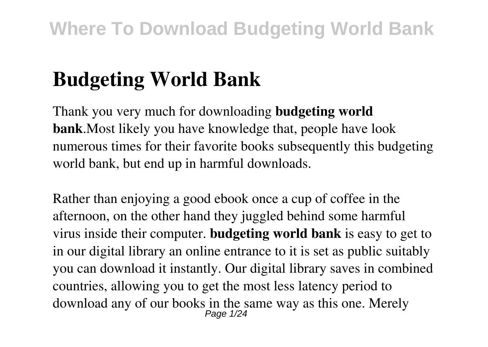# **Budgeting World Bank**

Thank you very much for downloading **budgeting world bank**.Most likely you have knowledge that, people have look numerous times for their favorite books subsequently this budgeting world bank, but end up in harmful downloads.

Rather than enjoying a good ebook once a cup of coffee in the afternoon, on the other hand they juggled behind some harmful virus inside their computer. **budgeting world bank** is easy to get to in our digital library an online entrance to it is set as public suitably you can download it instantly. Our digital library saves in combined countries, allowing you to get the most less latency period to download any of our books in the same way as this one. Merely Page 1/24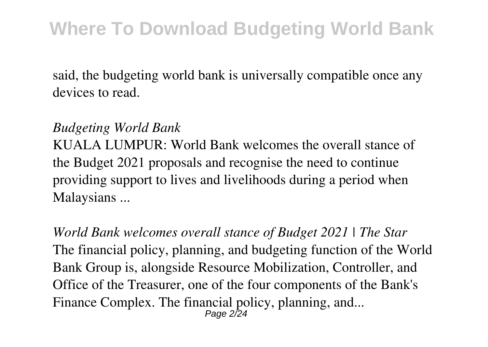said, the budgeting world bank is universally compatible once any devices to read.

#### *Budgeting World Bank*

KUALA LUMPUR: World Bank welcomes the overall stance of the Budget 2021 proposals and recognise the need to continue providing support to lives and livelihoods during a period when Malaysians ...

*World Bank welcomes overall stance of Budget 2021 | The Star* The financial policy, planning, and budgeting function of the World Bank Group is, alongside Resource Mobilization, Controller, and Office of the Treasurer, one of the four components of the Bank's Finance Complex. The financial policy, planning, and... Page 2/24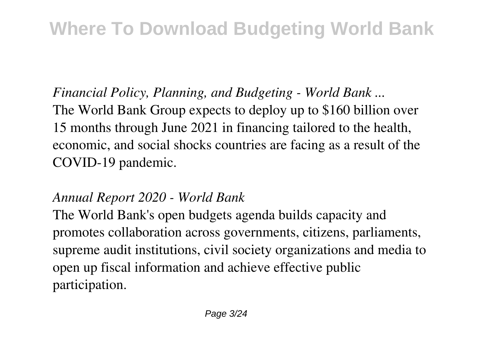*Financial Policy, Planning, and Budgeting - World Bank ...* The World Bank Group expects to deploy up to \$160 billion over 15 months through June 2021 in financing tailored to the health, economic, and social shocks countries are facing as a result of the COVID-19 pandemic.

#### *Annual Report 2020 - World Bank*

The World Bank's open budgets agenda builds capacity and promotes collaboration across governments, citizens, parliaments, supreme audit institutions, civil society organizations and media to open up fiscal information and achieve effective public participation.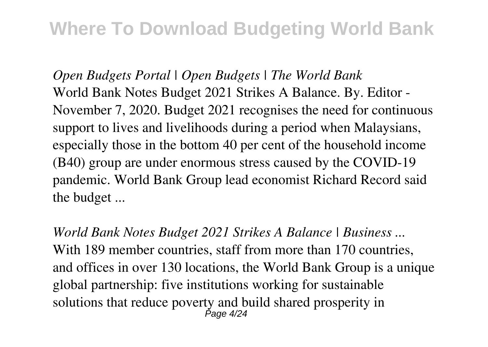*Open Budgets Portal | Open Budgets | The World Bank* World Bank Notes Budget 2021 Strikes A Balance. By. Editor - November 7, 2020. Budget 2021 recognises the need for continuous support to lives and livelihoods during a period when Malaysians, especially those in the bottom 40 per cent of the household income (B40) group are under enormous stress caused by the COVID-19 pandemic. World Bank Group lead economist Richard Record said the budget ...

*World Bank Notes Budget 2021 Strikes A Balance | Business ...* With 189 member countries, staff from more than 170 countries, and offices in over 130 locations, the World Bank Group is a unique global partnership: five institutions working for sustainable solutions that reduce poverty and build shared prosperity in Page 4/24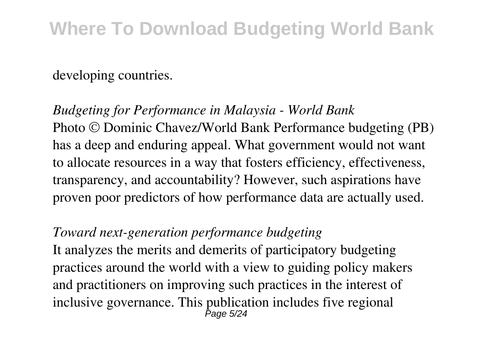#### developing countries.

*Budgeting for Performance in Malaysia - World Bank* Photo © Dominic Chavez/World Bank Performance budgeting (PB) has a deep and enduring appeal. What government would not want to allocate resources in a way that fosters efficiency, effectiveness, transparency, and accountability? However, such aspirations have proven poor predictors of how performance data are actually used.

#### *Toward next-generation performance budgeting*

It analyzes the merits and demerits of participatory budgeting practices around the world with a view to guiding policy makers and practitioners on improving such practices in the interest of inclusive governance. This publication includes five regional Page 5/24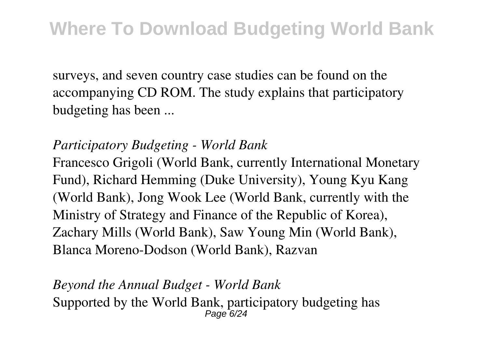surveys, and seven country case studies can be found on the accompanying CD ROM. The study explains that participatory budgeting has been ...

#### *Participatory Budgeting - World Bank*

Francesco Grigoli (World Bank, currently International Monetary Fund), Richard Hemming (Duke University), Young Kyu Kang (World Bank), Jong Wook Lee (World Bank, currently with the Ministry of Strategy and Finance of the Republic of Korea), Zachary Mills (World Bank), Saw Young Min (World Bank), Blanca Moreno-Dodson (World Bank), Razvan

*Beyond the Annual Budget - World Bank* Supported by the World Bank, participatory budgeting has Page 6/2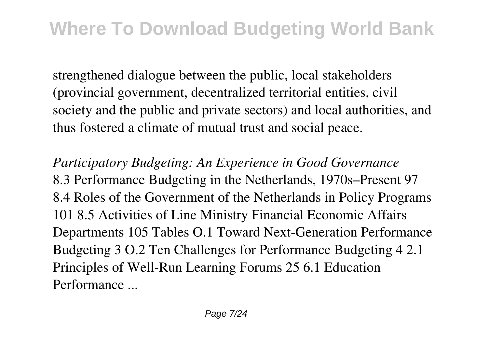strengthened dialogue between the public, local stakeholders (provincial government, decentralized territorial entities, civil society and the public and private sectors) and local authorities, and thus fostered a climate of mutual trust and social peace.

*Participatory Budgeting: An Experience in Good Governance* 8.3 Performance Budgeting in the Netherlands, 1970s–Present 97 8.4 Roles of the Government of the Netherlands in Policy Programs 101 8.5 Activities of Line Ministry Financial Economic Affairs Departments 105 Tables O.1 Toward Next-Generation Performance Budgeting 3 O.2 Ten Challenges for Performance Budgeting 4 2.1 Principles of Well-Run Learning Forums 25 6.1 Education Performance ...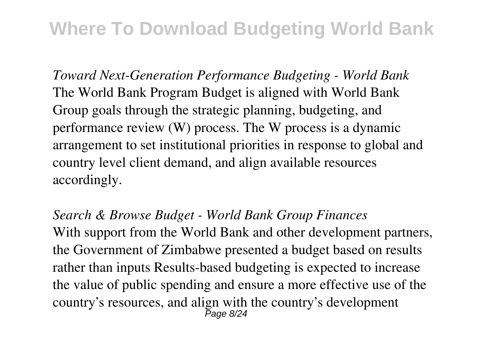*Toward Next-Generation Performance Budgeting - World Bank* The World Bank Program Budget is aligned with World Bank Group goals through the strategic planning, budgeting, and performance review (W) process. The W process is a dynamic arrangement to set institutional priorities in response to global and country level client demand, and align available resources accordingly.

*Search & Browse Budget - World Bank Group Finances* With support from the World Bank and other development partners, the Government of Zimbabwe presented a budget based on results rather than inputs Results-based budgeting is expected to increase the value of public spending and ensure a more effective use of the country's resources, and align with the country's development  $P$ age 8/24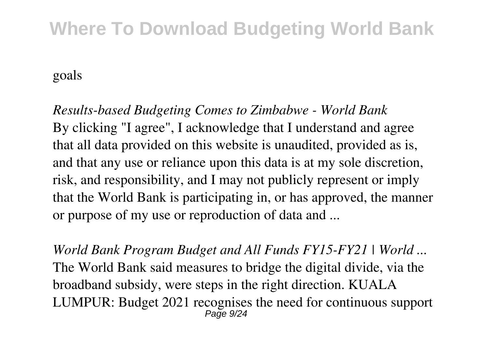goals

*Results-based Budgeting Comes to Zimbabwe - World Bank* By clicking "I agree", I acknowledge that I understand and agree that all data provided on this website is unaudited, provided as is, and that any use or reliance upon this data is at my sole discretion, risk, and responsibility, and I may not publicly represent or imply that the World Bank is participating in, or has approved, the manner or purpose of my use or reproduction of data and ...

*World Bank Program Budget and All Funds FY15-FY21 | World ...* The World Bank said measures to bridge the digital divide, via the broadband subsidy, were steps in the right direction. KUALA LUMPUR: Budget 2021 recognises the need for continuous support  $P$ age  $9/24$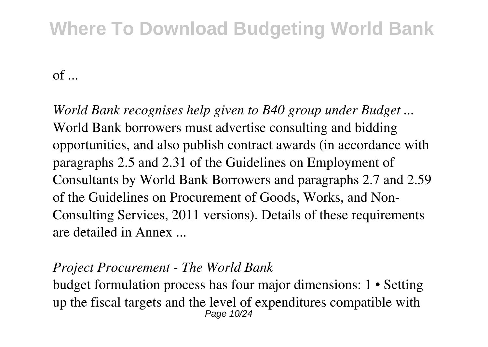$of$  ...

*World Bank recognises help given to B40 group under Budget ...* World Bank borrowers must advertise consulting and bidding opportunities, and also publish contract awards (in accordance with paragraphs 2.5 and 2.31 of the Guidelines on Employment of Consultants by World Bank Borrowers and paragraphs 2.7 and 2.59 of the Guidelines on Procurement of Goods, Works, and Non-Consulting Services, 2011 versions). Details of these requirements are detailed in Annex ...

#### *Project Procurement - The World Bank*

budget formulation process has four major dimensions: 1 • Setting up the fiscal targets and the level of expenditures compatible with Page 10/24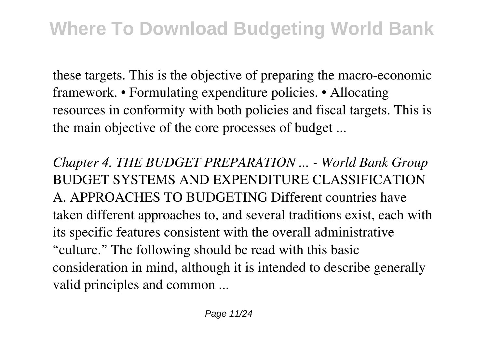these targets. This is the objective of preparing the macro-economic framework. • Formulating expenditure policies. • Allocating resources in conformity with both policies and fiscal targets. This is the main objective of the core processes of budget ...

*Chapter 4. THE BUDGET PREPARATION ... - World Bank Group* BUDGET SYSTEMS AND EXPENDITURE CLASSIFICATION A. APPROACHES TO BUDGETING Different countries have taken different approaches to, and several traditions exist, each with its specific features consistent with the overall administrative "culture." The following should be read with this basic consideration in mind, although it is intended to describe generally valid principles and common ...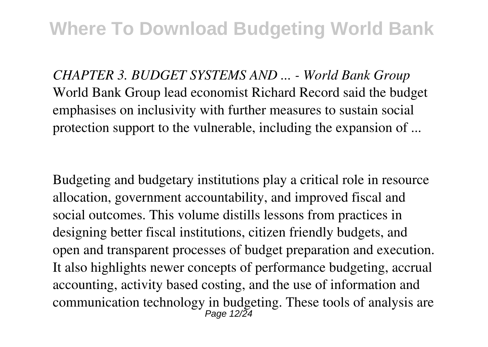*CHAPTER 3. BUDGET SYSTEMS AND ... - World Bank Group* World Bank Group lead economist Richard Record said the budget emphasises on inclusivity with further measures to sustain social protection support to the vulnerable, including the expansion of ...

Budgeting and budgetary institutions play a critical role in resource allocation, government accountability, and improved fiscal and social outcomes. This volume distills lessons from practices in designing better fiscal institutions, citizen friendly budgets, and open and transparent processes of budget preparation and execution. It also highlights newer concepts of performance budgeting, accrual accounting, activity based costing, and the use of information and communication technology in budgeting. These tools of analysis are Page 12/24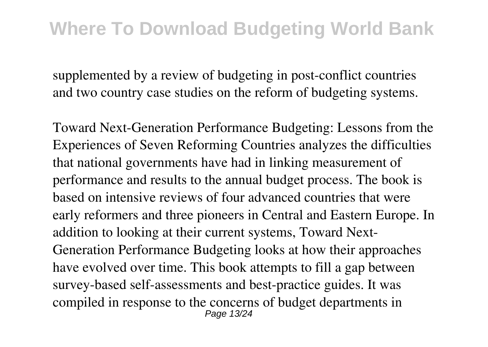supplemented by a review of budgeting in post-conflict countries and two country case studies on the reform of budgeting systems.

Toward Next-Generation Performance Budgeting: Lessons from the Experiences of Seven Reforming Countries analyzes the difficulties that national governments have had in linking measurement of performance and results to the annual budget process. The book is based on intensive reviews of four advanced countries that were early reformers and three pioneers in Central and Eastern Europe. In addition to looking at their current systems, Toward Next-Generation Performance Budgeting looks at how their approaches have evolved over time. This book attempts to fill a gap between survey-based self-assessments and best-practice guides. It was compiled in response to the concerns of budget departments in Page 13/24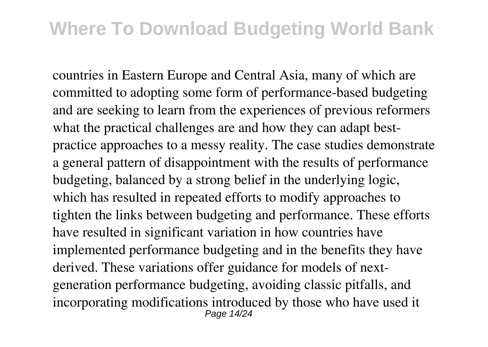countries in Eastern Europe and Central Asia, many of which are committed to adopting some form of performance-based budgeting and are seeking to learn from the experiences of previous reformers what the practical challenges are and how they can adapt bestpractice approaches to a messy reality. The case studies demonstrate a general pattern of disappointment with the results of performance budgeting, balanced by a strong belief in the underlying logic, which has resulted in repeated efforts to modify approaches to tighten the links between budgeting and performance. These efforts have resulted in significant variation in how countries have implemented performance budgeting and in the benefits they have derived. These variations offer guidance for models of nextgeneration performance budgeting, avoiding classic pitfalls, and incorporating modifications introduced by those who have used it Page 14/24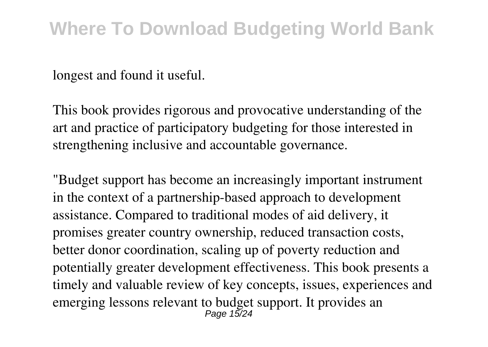longest and found it useful.

This book provides rigorous and provocative understanding of the art and practice of participatory budgeting for those interested in strengthening inclusive and accountable governance.

"Budget support has become an increasingly important instrument in the context of a partnership-based approach to development assistance. Compared to traditional modes of aid delivery, it promises greater country ownership, reduced transaction costs, better donor coordination, scaling up of poverty reduction and potentially greater development effectiveness. This book presents a timely and valuable review of key concepts, issues, experiences and emerging lessons relevant to budget support. It provides an Page 15/24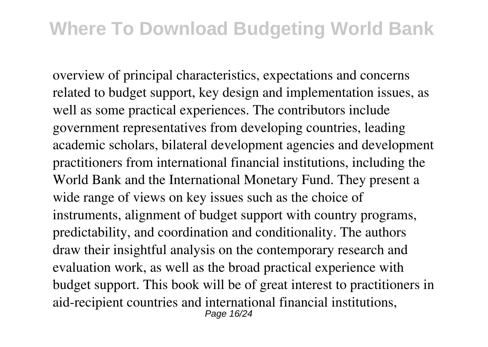overview of principal characteristics, expectations and concerns related to budget support, key design and implementation issues, as well as some practical experiences. The contributors include government representatives from developing countries, leading academic scholars, bilateral development agencies and development practitioners from international financial institutions, including the World Bank and the International Monetary Fund. They present a wide range of views on key issues such as the choice of instruments, alignment of budget support with country programs, predictability, and coordination and conditionality. The authors draw their insightful analysis on the contemporary research and evaluation work, as well as the broad practical experience with budget support. This book will be of great interest to practitioners in aid-recipient countries and international financial institutions, Page 16/24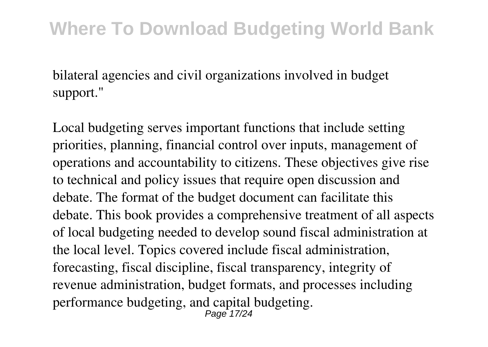bilateral agencies and civil organizations involved in budget support."

Local budgeting serves important functions that include setting priorities, planning, financial control over inputs, management of operations and accountability to citizens. These objectives give rise to technical and policy issues that require open discussion and debate. The format of the budget document can facilitate this debate. This book provides a comprehensive treatment of all aspects of local budgeting needed to develop sound fiscal administration at the local level. Topics covered include fiscal administration, forecasting, fiscal discipline, fiscal transparency, integrity of revenue administration, budget formats, and processes including performance budgeting, and capital budgeting. Page 17/24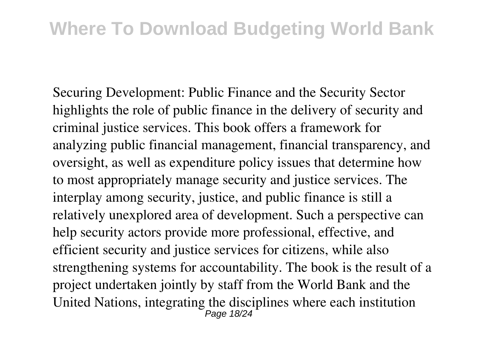Securing Development: Public Finance and the Security Sector highlights the role of public finance in the delivery of security and criminal justice services. This book offers a framework for analyzing public financial management, financial transparency, and oversight, as well as expenditure policy issues that determine how to most appropriately manage security and justice services. The interplay among security, justice, and public finance is still a relatively unexplored area of development. Such a perspective can help security actors provide more professional, effective, and efficient security and justice services for citizens, while also strengthening systems for accountability. The book is the result of a project undertaken jointly by staff from the World Bank and the United Nations, integrating the disciplines where each institution Page 18/24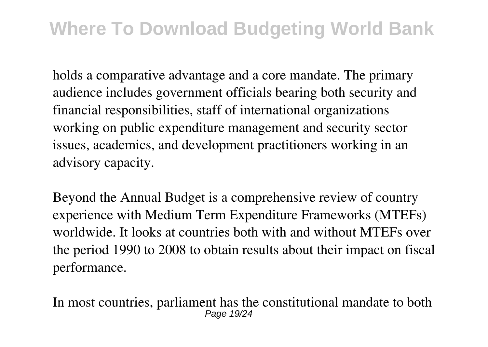holds a comparative advantage and a core mandate. The primary audience includes government officials bearing both security and financial responsibilities, staff of international organizations working on public expenditure management and security sector issues, academics, and development practitioners working in an advisory capacity.

Beyond the Annual Budget is a comprehensive review of country experience with Medium Term Expenditure Frameworks (MTEFs) worldwide. It looks at countries both with and without MTEFs over the period 1990 to 2008 to obtain results about their impact on fiscal performance.

In most countries, parliament has the constitutional mandate to both Page 19/24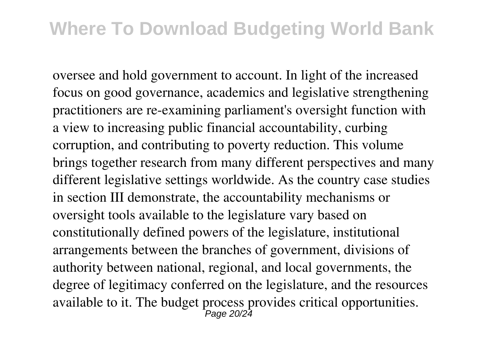oversee and hold government to account. In light of the increased focus on good governance, academics and legislative strengthening practitioners are re-examining parliament's oversight function with a view to increasing public financial accountability, curbing corruption, and contributing to poverty reduction. This volume brings together research from many different perspectives and many different legislative settings worldwide. As the country case studies in section III demonstrate, the accountability mechanisms or oversight tools available to the legislature vary based on constitutionally defined powers of the legislature, institutional arrangements between the branches of government, divisions of authority between national, regional, and local governments, the degree of legitimacy conferred on the legislature, and the resources available to it. The budget process provides critical opportunities. Page 20/24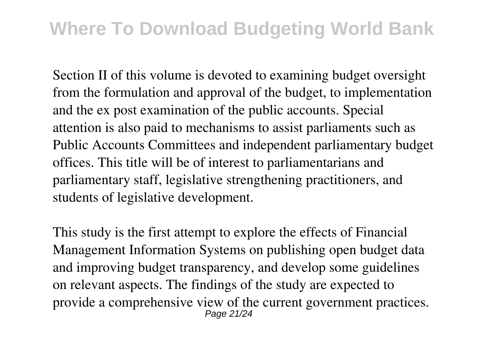Section II of this volume is devoted to examining budget oversight from the formulation and approval of the budget, to implementation and the ex post examination of the public accounts. Special attention is also paid to mechanisms to assist parliaments such as Public Accounts Committees and independent parliamentary budget offices. This title will be of interest to parliamentarians and parliamentary staff, legislative strengthening practitioners, and students of legislative development.

This study is the first attempt to explore the effects of Financial Management Information Systems on publishing open budget data and improving budget transparency, and develop some guidelines on relevant aspects. The findings of the study are expected to provide a comprehensive view of the current government practices. Page 21/24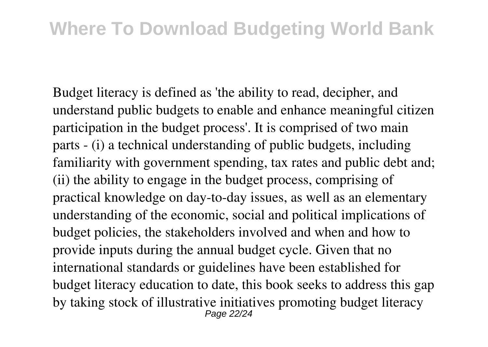Budget literacy is defined as 'the ability to read, decipher, and understand public budgets to enable and enhance meaningful citizen participation in the budget process'. It is comprised of two main parts - (i) a technical understanding of public budgets, including familiarity with government spending, tax rates and public debt and; (ii) the ability to engage in the budget process, comprising of practical knowledge on day-to-day issues, as well as an elementary understanding of the economic, social and political implications of budget policies, the stakeholders involved and when and how to provide inputs during the annual budget cycle. Given that no international standards or guidelines have been established for budget literacy education to date, this book seeks to address this gap by taking stock of illustrative initiatives promoting budget literacy Page 22/24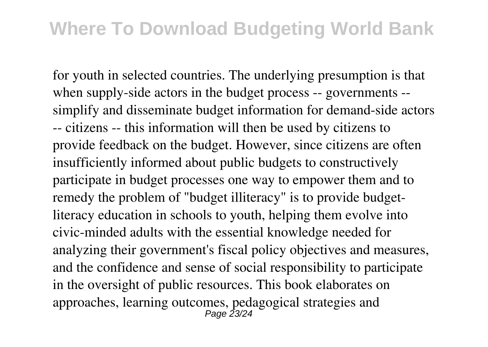for youth in selected countries. The underlying presumption is that when supply-side actors in the budget process -- governments - simplify and disseminate budget information for demand-side actors -- citizens -- this information will then be used by citizens to provide feedback on the budget. However, since citizens are often insufficiently informed about public budgets to constructively participate in budget processes one way to empower them and to remedy the problem of "budget illiteracy" is to provide budgetliteracy education in schools to youth, helping them evolve into civic-minded adults with the essential knowledge needed for analyzing their government's fiscal policy objectives and measures, and the confidence and sense of social responsibility to participate in the oversight of public resources. This book elaborates on approaches, learning outcomes, pedagogical strategies and Page 23/24